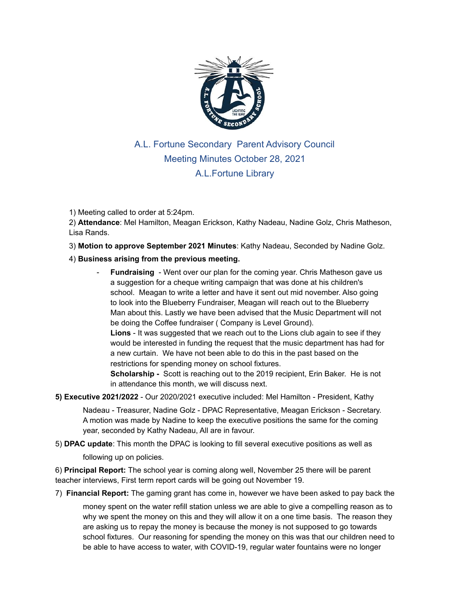

## A.L. Fortune Secondary Parent Advisory Council Meeting Minutes October 28, 2021 A.L.Fortune Library

1) Meeting called to order at 5:24pm.

2) **Attendance**: Mel Hamilton, Meagan Erickson, Kathy Nadeau, Nadine Golz, Chris Matheson, Lisa Rands.

3) **Motion to approve September 2021 Minutes**: Kathy Nadeau, Seconded by Nadine Golz.

## 4) **Business arising from the previous meeting.**

- **Fundraising** Went over our plan for the coming year. Chris Matheson gave us a suggestion for a cheque writing campaign that was done at his children's school. Meagan to write a letter and have it sent out mid november. Also going to look into the Blueberry Fundraiser, Meagan will reach out to the Blueberry Man about this. Lastly we have been advised that the Music Department will not be doing the Coffee fundraiser ( Company is Level Ground). **Lions** - It was suggested that we reach out to the Lions club again to see if they would be interested in funding the request that the music department has had for a new curtain. We have not been able to do this in the past based on the restrictions for spending money on school fixtures. **Scholarship -** Scott is reaching out to the 2019 recipient, Erin Baker. He is not in attendance this month, we will discuss next.
- **5) Executive 2021/2022** Our 2020/2021 executive included: Mel Hamilton President, Kathy

Nadeau - Treasurer, Nadine Golz - DPAC Representative, Meagan Erickson - Secretary. A motion was made by Nadine to keep the executive positions the same for the coming year, seconded by Kathy Nadeau, All are in favour.

5) **DPAC update**: This month the DPAC is looking to fill several executive positions as well as

following up on policies.

6) **Principal Report:** The school year is coming along well, November 25 there will be parent teacher interviews, First term report cards will be going out November 19.

7) **Financial Report:** The gaming grant has come in, however we have been asked to pay back the

money spent on the water refill station unless we are able to give a compelling reason as to why we spent the money on this and they will allow it on a one time basis. The reason they are asking us to repay the money is because the money is not supposed to go towards school fixtures. Our reasoning for spending the money on this was that our children need to be able to have access to water, with COVID-19, regular water fountains were no longer